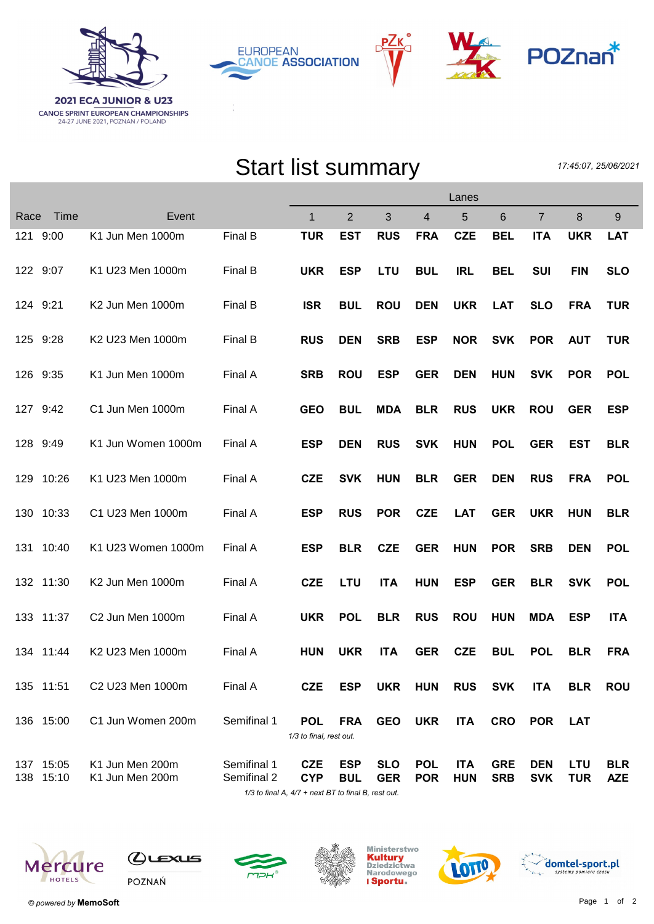





## Start list summary

17:45:07, 25/06/2021

|      |                        |                                    | Lanes                      |                                       |                          |                          |                          |                          |                          |                          |                          |                          |
|------|------------------------|------------------------------------|----------------------------|---------------------------------------|--------------------------|--------------------------|--------------------------|--------------------------|--------------------------|--------------------------|--------------------------|--------------------------|
| Race | Time                   | Event                              |                            | 1                                     | $\overline{2}$           | 3                        | $\overline{4}$           | 5                        | 6                        | $\overline{7}$           | 8                        | 9                        |
|      | 121 9:00               | K1 Jun Men 1000m                   | Final B                    | <b>TUR</b>                            | <b>EST</b>               | <b>RUS</b>               | <b>FRA</b>               | <b>CZE</b>               | <b>BEL</b>               | <b>ITA</b>               | <b>UKR</b>               | <b>LAT</b>               |
|      | 122 9:07               | K1 U23 Men 1000m                   | Final B                    | <b>UKR</b>                            | <b>ESP</b>               | <b>LTU</b>               | <b>BUL</b>               | <b>IRL</b>               | <b>BEL</b>               | <b>SUI</b>               | <b>FIN</b>               | <b>SLO</b>               |
|      | 124 9:21               | K2 Jun Men 1000m                   | Final B                    | <b>ISR</b>                            | <b>BUL</b>               | <b>ROU</b>               | <b>DEN</b>               | <b>UKR</b>               | <b>LAT</b>               | <b>SLO</b>               | <b>FRA</b>               | <b>TUR</b>               |
|      | 125 9:28               | K2 U23 Men 1000m                   | Final B                    | <b>RUS</b>                            | <b>DEN</b>               | <b>SRB</b>               | <b>ESP</b>               | <b>NOR</b>               | <b>SVK</b>               | <b>POR</b>               | <b>AUT</b>               | <b>TUR</b>               |
|      | 126 9:35               | K1 Jun Men 1000m                   | Final A                    | <b>SRB</b>                            | <b>ROU</b>               | <b>ESP</b>               | <b>GER</b>               | <b>DEN</b>               | <b>HUN</b>               | <b>SVK</b>               | <b>POR</b>               | <b>POL</b>               |
|      | 127 9:42               | C1 Jun Men 1000m                   | Final A                    | <b>GEO</b>                            | <b>BUL</b>               | <b>MDA</b>               | <b>BLR</b>               | <b>RUS</b>               | <b>UKR</b>               | <b>ROU</b>               | <b>GER</b>               | <b>ESP</b>               |
|      | 128 9:49               | K1 Jun Women 1000m                 | Final A                    | <b>ESP</b>                            | <b>DEN</b>               | <b>RUS</b>               | <b>SVK</b>               | <b>HUN</b>               | <b>POL</b>               | <b>GER</b>               | EST                      | <b>BLR</b>               |
| 129  | 10:26                  | K1 U23 Men 1000m                   | Final A                    | <b>CZE</b>                            | <b>SVK</b>               | <b>HUN</b>               | <b>BLR</b>               | <b>GER</b>               | <b>DEN</b>               | <b>RUS</b>               | <b>FRA</b>               | <b>POL</b>               |
|      | 130 10:33              | C1 U23 Men 1000m                   | Final A                    | <b>ESP</b>                            | <b>RUS</b>               | <b>POR</b>               | <b>CZE</b>               | <b>LAT</b>               | <b>GER</b>               | <b>UKR</b>               | <b>HUN</b>               | <b>BLR</b>               |
| 131  | 10:40                  | K1 U23 Women 1000m                 | Final A                    | <b>ESP</b>                            | <b>BLR</b>               | <b>CZE</b>               | <b>GER</b>               | <b>HUN</b>               | <b>POR</b>               | <b>SRB</b>               | <b>DEN</b>               | <b>POL</b>               |
|      | 132 11:30              | K2 Jun Men 1000m                   | Final A                    | <b>CZE</b>                            | <b>LTU</b>               | <b>ITA</b>               | <b>HUN</b>               | <b>ESP</b>               | <b>GER</b>               | <b>BLR</b>               | <b>SVK</b>               | <b>POL</b>               |
|      | 133 11:37              | C2 Jun Men 1000m                   | Final A                    | <b>UKR</b>                            | <b>POL</b>               | <b>BLR</b>               | <b>RUS</b>               | <b>ROU</b>               | <b>HUN</b>               | <b>MDA</b>               | <b>ESP</b>               | <b>ITA</b>               |
|      | 134 11:44              | K2 U23 Men 1000m                   | Final A                    | <b>HUN</b>                            | <b>UKR</b>               | <b>ITA</b>               | <b>GER</b>               | <b>CZE</b>               | <b>BUL</b>               | <b>POL</b>               | <b>BLR</b>               | <b>FRA</b>               |
|      | 135 11:51              | C2 U23 Men 1000m                   | Final A                    | <b>CZE</b>                            | <b>ESP</b>               | <b>UKR</b>               | <b>HUN</b>               | <b>RUS</b>               | <b>SVK</b>               | <b>ITA</b>               | <b>BLR</b>               | <b>ROU</b>               |
|      | 136 15:00              | C1 Jun Women 200m                  | Semifinal 1                | <b>POL</b><br>1/3 to final, rest out. | <b>FRA</b>               | <b>GEO</b>               | <b>UKR</b>               | <b>ITA</b>               | <b>CRO</b>               | <b>POR</b>               | <b>LAT</b>               |                          |
|      | 137 15:05<br>138 15:10 | K1 Jun Men 200m<br>K1 Jun Men 200m | Semifinal 1<br>Semifinal 2 | <b>CZE</b><br><b>CYP</b>              | <b>ESP</b><br><b>BUL</b> | <b>SLO</b><br><b>GER</b> | <b>POL</b><br><b>POR</b> | <b>ITA</b><br><b>HUN</b> | <b>GRE</b><br><b>SRB</b> | <b>DEN</b><br><b>SVK</b> | <b>LTU</b><br><b>TUR</b> | <b>BLR</b><br><b>AZE</b> |

1/3 to final A,  $4/7$  + next BT to final B, rest out.